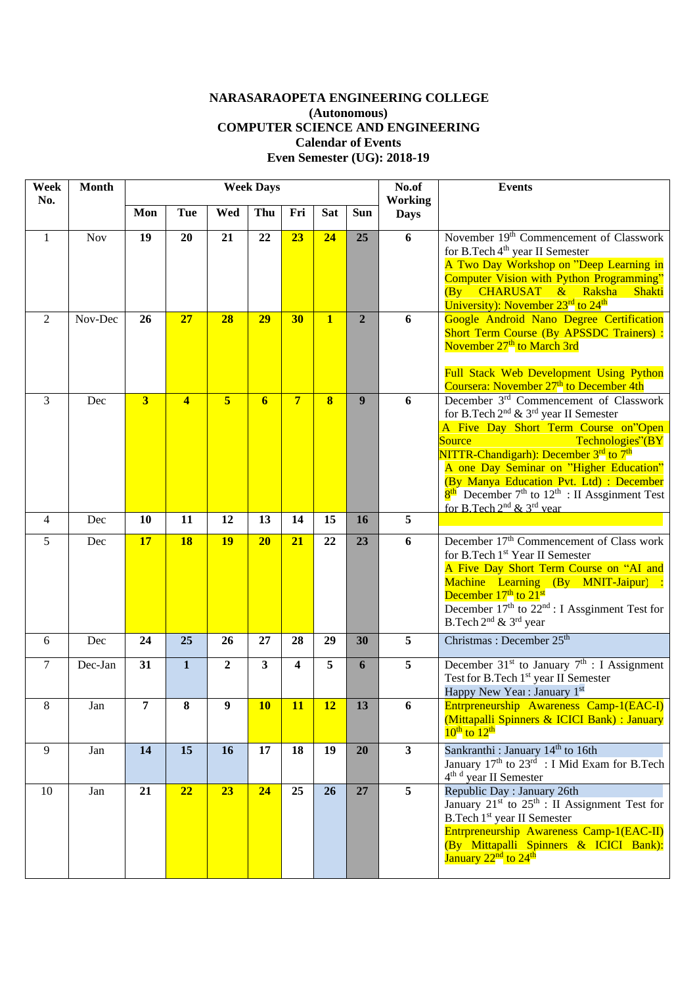## **NARASARAOPETA ENGINEERING COLLEGE (Autonomous) COMPUTER SCIENCE AND ENGINEERING Calendar of Events Even Semester (UG): 2018-19**

| Week<br>No.    | <b>Month</b> | <b>Week Days</b>        |                |                  |                |                |              |                  | No.of<br><b>Events</b><br><b>Working</b> |                                                                                                                                                                                                                                                                                                                                                                                                                                                                      |
|----------------|--------------|-------------------------|----------------|------------------|----------------|----------------|--------------|------------------|------------------------------------------|----------------------------------------------------------------------------------------------------------------------------------------------------------------------------------------------------------------------------------------------------------------------------------------------------------------------------------------------------------------------------------------------------------------------------------------------------------------------|
|                |              | Mon                     | Tue            | Wed              | Thu            | Fri            | <b>Sat</b>   | <b>Sun</b>       | <b>Days</b>                              |                                                                                                                                                                                                                                                                                                                                                                                                                                                                      |
| 1              | <b>Nov</b>   | 19                      | 20             | 21               | 22             | 23             | 24           | 25               | 6                                        | November 19 <sup>th</sup> Commencement of Classwork<br>for B.Tech 4 <sup>th</sup> year II Semester<br>A Two Day Workshop on "Deep Learning in<br>Computer Vision with Python Programming"<br>(By CHARUSAT & Raksha<br>Shakti<br>University): November 23 <sup>rd</sup> to 24 <sup>th</sup>                                                                                                                                                                           |
| 2              | Nov-Dec      | 26                      | 27             | 28               | 29             | 30             | $\mathbf{1}$ | $\overline{2}$   | 6                                        | Google Android Nano Degree Certification<br>Short Term Course (By APSSDC Trainers) :<br>November 27 <sup>th</sup> to March 3rd<br>Full Stack Web Development Using Python<br>Coursera: November 27 <sup>th</sup> to December 4th                                                                                                                                                                                                                                     |
| 3              | Dec          | $\overline{\mathbf{3}}$ | $\overline{4}$ | $\overline{5}$   | $\overline{6}$ | $\overline{7}$ | $\bf{8}$     | $\boldsymbol{9}$ | 6                                        | December 3 <sup>rd</sup> Commencement of Classwork<br>for B.Tech 2 <sup>nd</sup> & 3 <sup>rd</sup> year II Semester<br>A Five Day Short Term Course on"Open<br>Source<br>Technologies"(BY<br>NITTR-Chandigarh): December 3 <sup>rd</sup> to 7 <sup>th</sup><br>A one Day Seminar on "Higher Education"<br>(By Manya Education Pvt. Ltd) : December<br>$8th$ December 7 <sup>th</sup> to 12 <sup>th</sup> : II Assginment Test<br>for B.Tech $2^{nd}$ & $3^{rd}$ vear |
| $\overline{4}$ | Dec          | 10                      | 11             | 12               | 13             | 14             | 15           | 16               | 5                                        |                                                                                                                                                                                                                                                                                                                                                                                                                                                                      |
| 5              | Dec          | 17                      | <b>18</b>      | <b>19</b>        | 20             | 21             | 22           | 23               | 6                                        | December 17 <sup>th</sup> Commencement of Class work<br>for B.Tech 1 <sup>st</sup> Year II Semester<br>A Five Day Short Term Course on "AI and<br>Machine Learning (By MNIT-Jaipur) :<br>December 17 <sup>th</sup> to 21 <sup>st</sup><br>December $17th$ to $22nd$ : I Assginment Test for<br>B.Tech 2 <sup>nd</sup> & 3 <sup>rd</sup> year                                                                                                                         |
| 6              | Dec          | 24                      | 25             | 26               | 27             | 28             | 29           | 30               | 5                                        | Christmas: December 25 <sup>th</sup>                                                                                                                                                                                                                                                                                                                                                                                                                                 |
| $\tau$         | Dec-Jan      | 31                      | $\mathbf{1}$   | $\boldsymbol{2}$ | 3              | 4              | 5            | 6                | $\overline{5}$                           | December $31st$ to January $7th$ : I Assignment<br>Test for B.Tech 1 <sup>st</sup> year II Semester<br>Happy New Year: January 1st                                                                                                                                                                                                                                                                                                                                   |
| 8              | Jan          | $\overline{7}$          | 8              | 9                | <b>10</b>      | <b>11</b>      | 12           | 13               | 6                                        | Entrpreneurship Awareness Camp-1(EAC-I)<br>(Mittapalli Spinners & ICICI Bank) : January<br>$10^{\text{th}}$ to $12^{\text{th}}$                                                                                                                                                                                                                                                                                                                                      |
| 9              | Jan          | 14                      | 15             | 16               | 17             | 18             | 19           | 20               | $\overline{\mathbf{3}}$                  | Sankranthi: January 14 <sup>th</sup> to 16th<br>January 17 <sup>th</sup> to 23 <sup>rd</sup> : I Mid Exam for B.Tech<br>4 <sup>th d</sup> year II Semester                                                                                                                                                                                                                                                                                                           |
| 10             | Jan          | 21                      | 22             | 23               | 24             | 25             | 26           | 27               | $\overline{5}$                           | Republic Day: January 26th<br>January 21 <sup>st</sup> to 25 <sup>th</sup> : II Assignment Test for<br>B.Tech 1 <sup>st</sup> year II Semester<br>Entrpreneurship Awareness Camp-1(EAC-II)<br>(By Mittapalli Spinners & ICICI Bank):<br>January 22 <sup>nd</sup> to 24 <sup>th</sup>                                                                                                                                                                                 |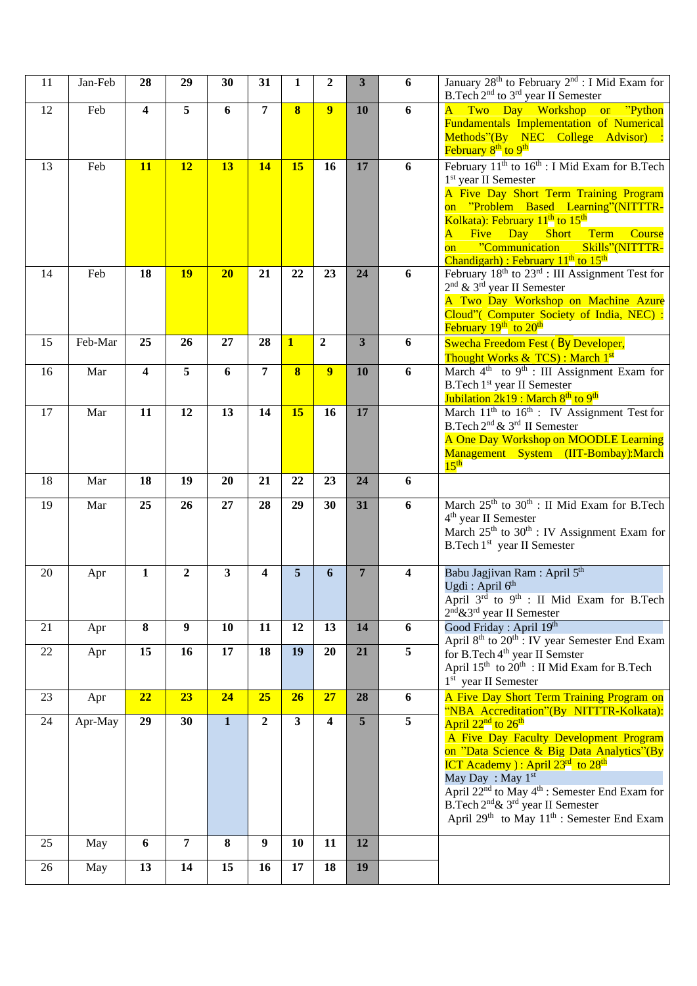| 11 | Jan-Feb | 28           | 29               | 30           | 31               | 1                       | $\overline{2}$ | $\overline{\mathbf{3}}$ | 6                       | January 28 <sup>th</sup> to February 2 <sup>nd</sup> : I Mid Exam for<br>B.Tech 2 <sup>nd</sup> to 3 <sup>rd</sup> year II Semester                                                                                                                                                                                                                                                                                  |
|----|---------|--------------|------------------|--------------|------------------|-------------------------|----------------|-------------------------|-------------------------|----------------------------------------------------------------------------------------------------------------------------------------------------------------------------------------------------------------------------------------------------------------------------------------------------------------------------------------------------------------------------------------------------------------------|
| 12 | Feb     | 4            | 5                | 6            | 7                | 8                       | 9              | 10                      | 6                       | Two Day Workshop<br>"Python"<br>$\mathsf{A}$<br>on<br>Fundamentals Implementation of Numerical<br>Methods"(By NEC College Advisor) :<br>February 8 <sup>th</sup> to 9 <sup>th</sup>                                                                                                                                                                                                                                  |
| 13 | Feb     | 11           | 12               | 13           | <b>14</b>        | 15                      | 16             | 17                      | 6                       | February $11^{th}$ to $16^{th}$ : I Mid Exam for B. Tech<br>1 <sup>st</sup> year II Semester<br>A Five Day Short Term Training Program<br>on "Problem Based Learning"(NITTTR-<br>Kolkata): February 11 <sup>th</sup> to 15 <sup>th</sup><br>Term<br>$\overline{\mathbf{A}}$<br>Five Day<br>Course<br><b>Short</b><br>"Communication<br>Skills"(NITTTR-<br>$\overline{on}$<br>Chandigarh) : February $11th$ to $15th$ |
| 14 | Feb     | 18           | <b>19</b>        | 20           | 21               | 22                      | 23             | 24                      | 6                       | February $18^{\text{th}}$ to $23^{\text{rd}}$ : III Assignment Test for<br>$2nd$ & 3 <sup>rd</sup> year II Semester<br>A Two Day Workshop on Machine Azure<br>Cloud" (Computer Society of India, NEC) :<br>February 19 <sup>th</sup> to 20 <sup>th</sup>                                                                                                                                                             |
| 15 | Feb-Mar | 25           | 26               | 27           | 28               | $\mathbf{1}$            | $\overline{2}$ | $\overline{\mathbf{3}}$ | 6                       | Swecha Freedom Fest (By Developer,<br>Thought Works & TCS) : March 1 <sup>st</sup>                                                                                                                                                                                                                                                                                                                                   |
| 16 | Mar     | 4            | 5                | 6            | 7                | $\overline{\mathbf{8}}$ | 9              | 10                      | 6                       | March $4^{\text{th}}$ to $9^{\text{th}}$ : III Assignment Exam for<br>B.Tech 1st year II Semester<br>Jubilation 2k19 : March 8 <sup>th</sup> to 9 <sup>th</sup>                                                                                                                                                                                                                                                      |
| 17 | Mar     | 11           | 12               | 13           | 14               | 15                      | 16             | 17                      |                         | March 11 <sup>th</sup> to 16 <sup>th</sup> : IV Assignment Test for<br>B.Tech 2 <sup>nd</sup> & 3 <sup>rd</sup> II Semester<br>A One Day Workshop on MOODLE Learning<br>Management System (IIT-Bombay):March<br>15 <sup>th</sup>                                                                                                                                                                                     |
| 18 | Mar     | 18           | 19               | 20           | 21               | 22                      | 23             | 24                      | 6                       |                                                                                                                                                                                                                                                                                                                                                                                                                      |
| 19 | Mar     | 25           | 26               | 27           | 28               | 29                      | 30             | 31                      | 6                       | March 25 <sup>th</sup> to 30 <sup>th</sup> : II Mid Exam for B.Tech<br>$4th$ year II Semester<br>March 25 <sup>th</sup> to 30 <sup>th</sup> : IV Assignment Exam for<br>B.Tech 1 <sup>st</sup> year II Semester                                                                                                                                                                                                      |
| 20 | Apr     | $\mathbf{1}$ | $\overline{2}$   | 3            | 4                | 5                       | 6              | $\overline{7}$          | $\overline{\mathbf{4}}$ | Babu Jagjivan Ram: April 5 <sup>th</sup><br>Ugdi : April $6th$<br>April 3rd to 9 <sup>th</sup> : II Mid Exam for B.Tech<br>2 <sup>nd</sup> &3 <sup>rd</sup> year II Semester                                                                                                                                                                                                                                         |
| 21 | Apr     | 8            | $\boldsymbol{9}$ | 10           | 11               | 12                      | 13             | 14                      | 6                       | Good Friday: April 19th<br>April 8 <sup>th</sup> to 20 <sup>th</sup> : IV year Semester End Exam                                                                                                                                                                                                                                                                                                                     |
| 22 | Apr     | 15           | 16               | 17           | 18               | 19                      | <b>20</b>      | 21                      | 5                       | for B.Tech 4 <sup>th</sup> year II Semster<br>April 15 <sup>th</sup> to 20 <sup>th</sup> : II Mid Exam for B.Tech<br>1 <sup>st</sup> year II Semester                                                                                                                                                                                                                                                                |
| 23 | Apr     | 22           | 23               | 24           | 25               | 26                      | 27             | 28                      | 6                       | A Five Day Short Term Training Program on<br>"NBA Accreditation"(By NITTTR-Kolkata):                                                                                                                                                                                                                                                                                                                                 |
| 24 | Apr-May | 29           | 30               | $\mathbf{1}$ | $\boldsymbol{2}$ | $\mathbf{3}$            | 4              | 5                       | 5                       | April 22 <sup>nd</sup> to 26 <sup>th</sup><br>A Five Day Faculty Development Program<br>on "Data Science & Big Data Analytics"(By<br><b>ICT</b> Academy ): April $23rd$ to $28th$<br>May Day: May 1 <sup>st</sup><br>April 22 <sup>nd</sup> to May 4 <sup>th</sup> : Semester End Exam for<br>B.Tech 2 <sup>nd</sup> & 3 <sup>rd</sup> year II Semester<br>April $29th$ to May $11th$ : Semester End Exam            |
| 25 | May     | 6            | $\overline{7}$   | 8            | $\boldsymbol{9}$ | 10                      | 11             | 12                      |                         |                                                                                                                                                                                                                                                                                                                                                                                                                      |
| 26 | May     | 13           | 14               | 15           | 16               | 17                      | 18             | 19                      |                         |                                                                                                                                                                                                                                                                                                                                                                                                                      |